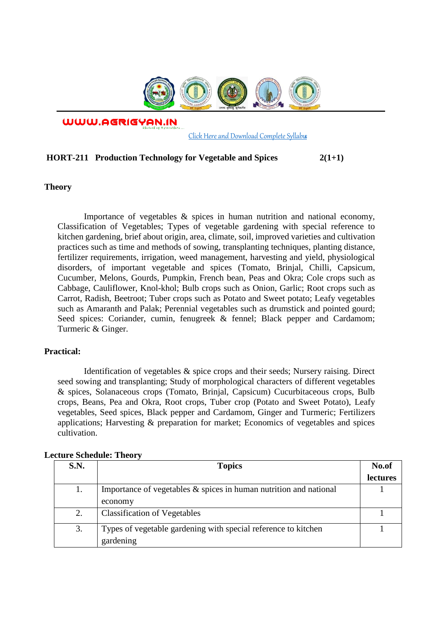

WWW.AGRIGYAN.IN

[Click Here and Download Complete Syllabus](http://agrigyan.in/)

## **HORT-211 Production Technology for Vegetable and Spices 2(1+1)**

**Theory** 

 $\overline{a}$ 

Importance of vegetables & spices in human nutrition and national economy, Classification of Vegetables; Types of vegetable gardening with special reference to kitchen gardening, brief about origin, area, climate, soil, improved varieties and cultivation practices such as time and methods of sowing, transplanting techniques, planting distance, fertilizer requirements, irrigation, weed management, harvesting and yield, physiological disorders, of important vegetable and spices (Tomato, Brinjal, Chilli, Capsicum, Cucumber, Melons, Gourds, Pumpkin, French bean, Peas and Okra; Cole crops such as Cabbage, Cauliflower, Knol-khol; Bulb crops such as Onion, Garlic; Root crops such as Carrot, Radish, Beetroot; Tuber crops such as Potato and Sweet potato; Leafy vegetables such as Amaranth and Palak; Perennial vegetables such as drumstick and pointed gourd; Seed spices: Coriander, cumin, fenugreek & fennel; Black pepper and Cardamom; Turmeric & Ginger.

## **Practical:**

Identification of vegetables & spice crops and their seeds; Nursery raising. Direct seed sowing and transplanting; Study of morphological characters of different vegetables & spices, Solanaceous crops (Tomato, Brinjal, Capsicum) Cucurbitaceous crops, Bulb crops, Beans, Pea and Okra, Root crops, Tuber crop (Potato and Sweet Potato), Leafy vegetables, Seed spices, Black pepper and Cardamom, Ginger and Turmeric; Fertilizers applications; Harvesting & preparation for market; Economics of vegetables and spices cultivation.

| S.N. | <b>Topics</b>                                                     | No.of           |
|------|-------------------------------------------------------------------|-----------------|
|      |                                                                   | <i>lectures</i> |
| 1.   | Importance of vegetables & spices in human nutrition and national |                 |
|      | economy                                                           |                 |
| 2.   | <b>Classification of Vegetables</b>                               |                 |
| 3.   | Types of vegetable gardening with special reference to kitchen    |                 |
|      | gardening                                                         |                 |

## **Lecture Schedule: Theory**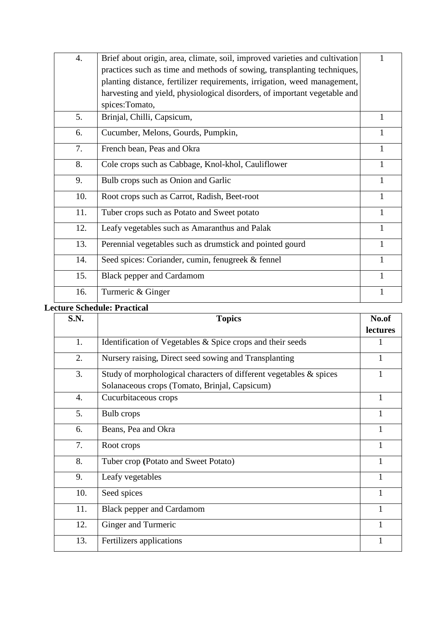| 4.  | Brief about origin, area, climate, soil, improved varieties and cultivation |              |
|-----|-----------------------------------------------------------------------------|--------------|
|     | practices such as time and methods of sowing, transplanting techniques,     |              |
|     | planting distance, fertilizer requirements, irrigation, weed management,    |              |
|     | harvesting and yield, physiological disorders, of important vegetable and   |              |
|     | spices:Tomato,                                                              |              |
| 5.  | Brinjal, Chilli, Capsicum,                                                  |              |
| 6.  | Cucumber, Melons, Gourds, Pumpkin,                                          | 1            |
| 7.  | French bean, Peas and Okra                                                  | 1            |
| 8.  | Cole crops such as Cabbage, Knol-khol, Cauliflower                          | 1            |
| 9.  | Bulb crops such as Onion and Garlic                                         | $\mathbf{1}$ |
| 10. | Root crops such as Carrot, Radish, Beet-root                                |              |
| 11. | Tuber crops such as Potato and Sweet potato                                 | 1            |
| 12. | Leafy vegetables such as Amaranthus and Palak                               | 1            |
| 13. | Perennial vegetables such as drumstick and pointed gourd                    | 1            |
| 14. | Seed spices: Coriander, cumin, fenugreek & fennel                           | $\mathbf{1}$ |
| 15. | <b>Black pepper and Cardamom</b>                                            |              |
| 16. | Turmeric & Ginger                                                           | $\mathbf{1}$ |
|     |                                                                             |              |

## **Lecture Schedule: Practical**

| S.N. | <b>Topics</b>                                                      | No.of        |
|------|--------------------------------------------------------------------|--------------|
|      |                                                                    | lectures     |
| 1.   | Identification of Vegetables & Spice crops and their seeds         | 1            |
| 2.   | Nursery raising, Direct seed sowing and Transplanting              | $\mathbf{1}$ |
| 3.   | Study of morphological characters of different vegetables & spices |              |
|      | Solanaceous crops (Tomato, Brinjal, Capsicum)                      |              |
| 4.   | Cucurbitaceous crops                                               | 1            |
| 5.   | Bulb crops                                                         | 1            |
| 6.   | Beans, Pea and Okra                                                | 1            |
| 7.   | Root crops                                                         | 1            |
| 8.   | Tuber crop (Potato and Sweet Potato)                               | 1            |
| 9.   | Leafy vegetables                                                   | 1            |
| 10.  | Seed spices                                                        | 1            |
| 11.  | <b>Black pepper and Cardamom</b>                                   |              |
| 12.  | Ginger and Turmeric                                                | 1            |
| 13.  | Fertilizers applications                                           |              |